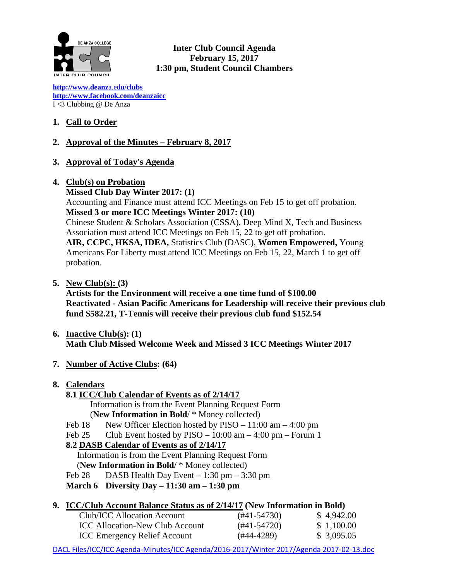

**Inter Club Council Agenda February 15, 2017 1:30 pm, Student Council Chambers**

**[http://www.deanz](http://www.deanza.edu/clubs)**[a.ed](http://www.deanza.edu/clubs)**[u/clubs](http://www.deanza.edu/clubs) [http://www.facebook.com/deanzaicc](http://www.facebook.com/home.php#!/group.php?gid=59034552686)** I <3 Clubbing @ De Anza

# **1. Call to Order**

## **2. Approval of the Minutes – February 8, 2017**

**3. Approval of Today's Agenda**

#### **4. Club(s) on Probation**

**Missed Club Day Winter 2017: (1)** Accounting and Finance must attend ICC Meetings on Feb 15 to get off probation. **Missed 3 or more ICC Meetings Winter 2017: (10)** Chinese Student & Scholars Association (CSSA), Deep Mind X, Tech and Business Association must attend ICC Meetings on Feb 15, 22 to get off probation. **AIR, CCPC, HKSA, IDEA,** Statistics Club (DASC), **Women Empowered,** Young Americans For Liberty must attend ICC Meetings on Feb 15, 22, March 1 to get off probation.

**5. New Club(s): (3)**

**Artists for the Environment will receive a one time fund of \$100.00 Reactivated - Asian Pacific Americans for Leadership will receive their previous club fund \$582.21, T-Tennis will receive their previous club fund \$152.54**

- **6. Inactive Club(s): (1) Math Club Missed Welcome Week and Missed 3 ICC Meetings Winter 2017**
- **7. Number of Active Clubs: (64)**

#### **8. Calendars**

**8.1 ICC/Club Calendar of Events as of 2/14/17**

Information is from the Event Planning Request Form

(**New Information in Bold**/ \* Money collected)

- Feb 18 New Officer Election hosted by  $PISO 11:00$  am  $-4:00$  pm
- Feb 25 Club Event hosted by  $PISO 10:00$  am  $4:00$  pm  $-$  Forum 1

## **8.2 DASB Calendar of Events as of 2/14/17**

Information is from the Event Planning Request Form

- (**New Information in Bold**/ \* Money collected)
- Feb 28 DASB Health Day Event  $-1:30$  pm  $-3:30$  pm
- **March 6 Diversity Day – 11:30 am – 1:30 pm**

## **9. ICC/Club Account Balance Status as of 2/14/17 (New Information in Bold)**

| Club/ICC Allocation Account            | $(#41-54730)$ | \$4,942.00  |
|----------------------------------------|---------------|-------------|
| <b>ICC Allocation-New Club Account</b> | $(#41-54720)$ | \$1,100.00  |
| <b>ICC Emergency Relief Account</b>    | (#44-4289)    | \$ 3,095.05 |